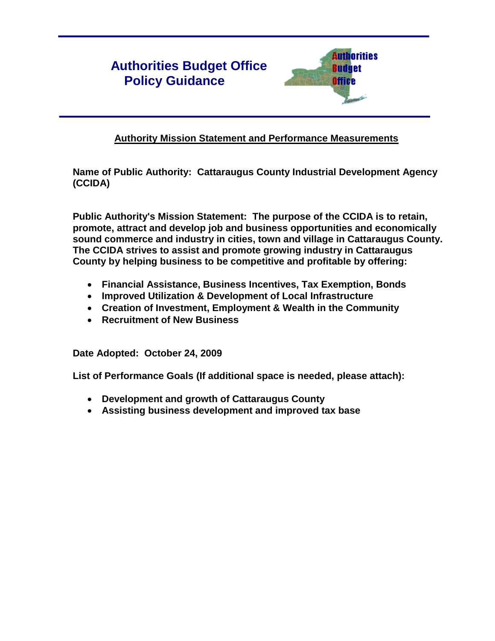# **Authorities Budget Office Policy Guidance**



# **Authority Mission Statement and Performance Measurements**

**Name of Public Authority: Cattaraugus County Industrial Development Agency (CCIDA)**

**Public Authority's Mission Statement: The purpose of the CCIDA is to retain, promote, attract and develop job and business opportunities and economically sound commerce and industry in cities, town and village in Cattaraugus County. The CCIDA strives to assist and promote growing industry in Cattaraugus County by helping business to be competitive and profitable by offering:** 

- **Financial Assistance, Business Incentives, Tax Exemption, Bonds**
- **Improved Utilization & Development of Local Infrastructure**
- **Creation of Investment, Employment & Wealth in the Community**
- **Recruitment of New Business**

**Date Adopted: October 24, 2009**

**List of Performance Goals (If additional space is needed, please attach):**

- **Development and growth of Cattaraugus County**
- **Assisting business development and improved tax base**